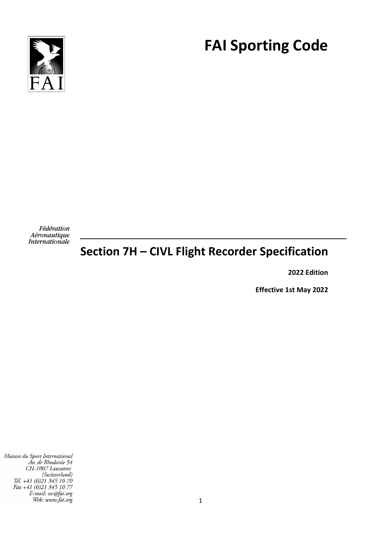

# **FAI Sporting Code**

Fédération Aéronautique **Internationale** 

## **Section 7H – CIVL Flight Recorder Specification**

**2022 Edition**

**Effective 1st May 2022**

Maison du Sport International Av. de Rhodanie 54<br>CH-1007 Lausanne (Switzerland)<br>Tél. +41 (0)21 345 10 70 Fax +41 (0)21 345 10 77<br>E-mail: sec@fai.org Web: www.fai.org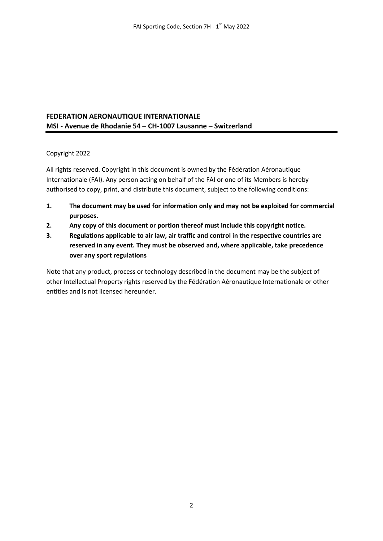#### **FEDERATION AERONAUTIQUE INTERNATIONALE MSI - Avenue de Rhodanie 54 – CH-1007 Lausanne – Switzerland**

#### Copyright 2022

All rights reserved. Copyright in this document is owned by the Fédération Aéronautique Internationale (FAI). Any person acting on behalf of the FAI or one of its Members is hereby authorised to copy, print, and distribute this document, subject to the following conditions:

- **1. The document may be used for information only and may not be exploited for commercial purposes.**
- **2. Any copy of this document or portion thereof must include this copyright notice.**
- **3. Regulations applicable to air law, air traffic and control in the respective countries are reserved in any event. They must be observed and, where applicable, take precedence over any sport regulations**

Note that any product, process or technology described in the document may be the subject of other Intellectual Property rights reserved by the Fédération Aéronautique Internationale or other entities and is not licensed hereunder.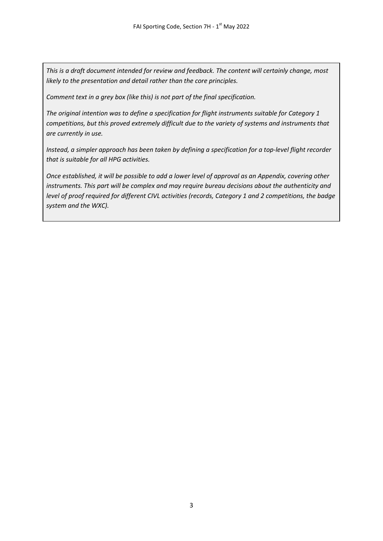*This is a draft document intended for review and feedback. The content will certainly change, most likely to the presentation and detail rather than the core principles.*

*Comment text in a grey box (like this) is not part of the final specification.*

*The original intention was to define a specification for flight instruments suitable for Category 1 competitions, but this proved extremely difficult due to the variety of systems and instruments that are currently in use.*

*Instead, a simpler approach has been taken by defining a specification for a top-level flight recorder that is suitable for all HPG activities.*

*Once established, it will be possible to add a lower level of approval as an Appendix, covering other instruments. This part will be complex and may require bureau decisions about the authenticity and level of proof required for different CIVL activities (records, Category 1 and 2 competitions, the badge system and the WXC).*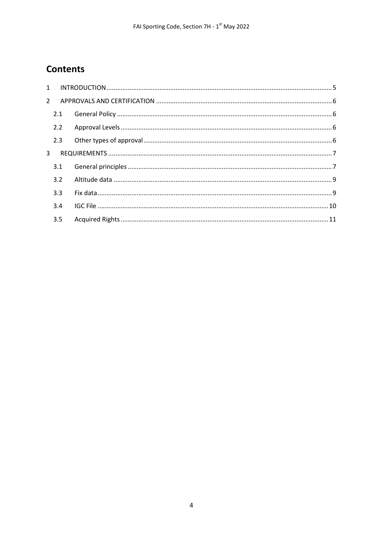## **Contents**

| 1           |     |  |
|-------------|-----|--|
| $2^{\circ}$ |     |  |
|             | 2.1 |  |
|             | 2.2 |  |
|             | 2.3 |  |
| 3           |     |  |
|             | 3.1 |  |
|             | 3.2 |  |
|             | 3.3 |  |
|             | 3.4 |  |
|             | 3.5 |  |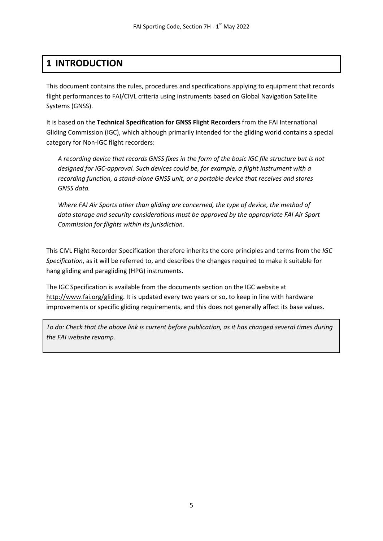## <span id="page-4-0"></span>**1 INTRODUCTION**

This document contains the rules, procedures and specifications applying to equipment that records flight performances to FAI/CIVL criteria using instruments based on Global Navigation Satellite Systems (GNSS).

It is based on the **Technical Specification for GNSS Flight Recorders** from the FAI International Gliding Commission (IGC), which although primarily intended for the gliding world contains a special category for Non-IGC flight recorders:

*A recording device that records GNSS fixes in the form of the basic IGC file structure but is not designed for IGC-approval. Such devices could be, for example, a flight instrument with a recording function, a stand-alone GNSS unit, or a portable device that receives and stores GNSS data.*

*Where FAI Air Sports other than gliding are concerned, the type of device, the method of data storage and security considerations must be approved by the appropriate FAI Air Sport Commission for flights within its jurisdiction.*

This CIVL Flight Recorder Specification therefore inherits the core principles and terms from the *IGC Specification*, as it will be referred to, and describes the changes required to make it suitable for hang gliding and paragliding (HPG) instruments.

The IGC Specification is available from the documents section on the IGC website at [http://www.fai.org/gliding.](http://www.fai.org/gliding) It is updated every two years or so, to keep in line with hardware improvements or specific gliding requirements, and this does not generally affect its base values.

*To do: Check that the above link is current before publication, as it has changed several times during the FAI website revamp.*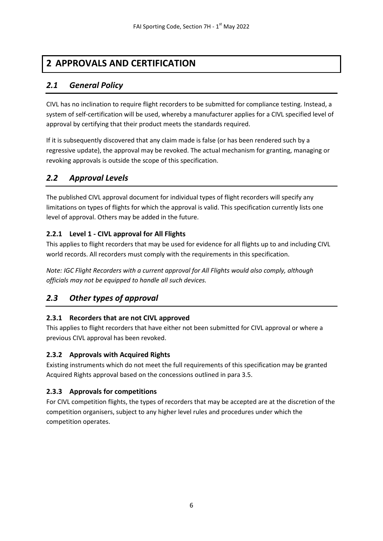## <span id="page-5-0"></span>**2 APPROVALS AND CERTIFICATION**

## <span id="page-5-1"></span>*2.1 General Policy*

CIVL has no inclination to require flight recorders to be submitted for compliance testing. Instead, a system of self-certification will be used, whereby a manufacturer applies for a CIVL specified level of approval by certifying that their product meets the standards required.

If it is subsequently discovered that any claim made is false (or has been rendered such by a regressive update), the approval may be revoked. The actual mechanism for granting, managing or revoking approvals is outside the scope of this specification.

## <span id="page-5-2"></span>*2.2 Approval Levels*

The published CIVL approval document for individual types of flight recorders will specify any limitations on types of flights for which the approval is valid. This specification currently lists one level of approval. Others may be added in the future.

#### **2.2.1 Level 1 - CIVL approval for All Flights**

This applies to flight recorders that may be used for evidence for all flights up to and including CIVL world records. All recorders must comply with the requirements in this specification.

*Note: IGC Flight Recorders with a current approval for All Flights would also comply, although officials may not be equipped to handle all such devices.*

## <span id="page-5-3"></span>*2.3 Other types of approval*

#### **2.3.1 Recorders that are not CIVL approved**

This applies to flight recorders that have either not been submitted for CIVL approval or where a previous CIVL approval has been revoked.

#### **2.3.2 Approvals with Acquired Rights**

Existing instruments which do not meet the full requirements of this specification may be granted Acquired Rights approval based on the concessions outlined in para 3.5.

#### **2.3.3 Approvals for competitions**

For CIVL competition flights, the types of recorders that may be accepted are at the discretion of the competition organisers, subject to any higher level rules and procedures under which the competition operates.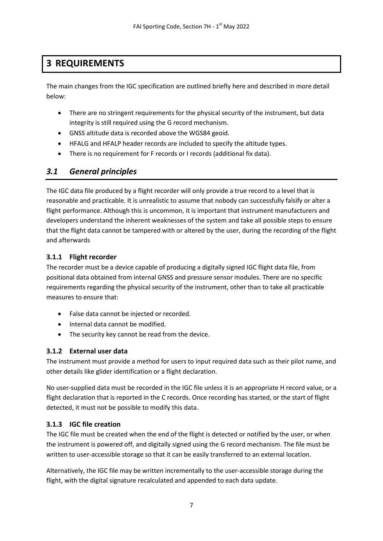## <span id="page-6-0"></span>**3 REQUIREMENTS**

The main changes from the IGC specification are outlined briefly here and described in more detail below:

- There are no stringent requirements for the physical security of the instrument, but data integrity is still required using the G record mechanism.
- GNSS altitude data is recorded above the WGS84 geoid.
- HFALG and HFALP header records are included to specify the altitude types.
- There is no requirement for F records or I records (additional fix data).

## <span id="page-6-1"></span>*3.1 General principles*

The IGC data file produced by a flight recorder will only provide a true record to a level that is reasonable and practicable. It is unrealistic to assume that nobody can successfully falsify or alter a flight performance. Although this is uncommon, it is important that instrument manufacturers and developers understand the inherent weaknesses of the system and take all possible steps to ensure that the flight data cannot be tampered with or altered by the user, during the recording of the flight and afterwards

#### **3.1.1 Flight recorder**

The recorder must be a device capable of producing a digitally signed IGC flight data file, from positional data obtained from internal GNSS and pressure sensor modules. There are no specific requirements regarding the physical security of the instrument, other than to take all practicable measures to ensure that:

- False data cannot be injected or recorded.
- Internal data cannot be modified.
- The security key cannot be read from the device.

#### **3.1.2 External user data**

The instrument must provide a method for users to input required data such as their pilot name, and other details like glider identification or a flight declaration.

No user-supplied data must be recorded in the IGC file unless it is an appropriate H record value, or a flight declaration that is reported in the C records. Once recording has started, or the start of flight detected, it must not be possible to modify this data.

#### **3.1.3 IGC file creation**

The IGC file must be created when the end of the flight is detected or notified by the user, or when the instrument is powered off, and digitally signed using the G record mechanism. The file must be written to user-accessible storage so that it can be easily transferred to an external location.

Alternatively, the IGC file may be written incrementally to the user-accessible storage during the flight, with the digital signature recalculated and appended to each data update.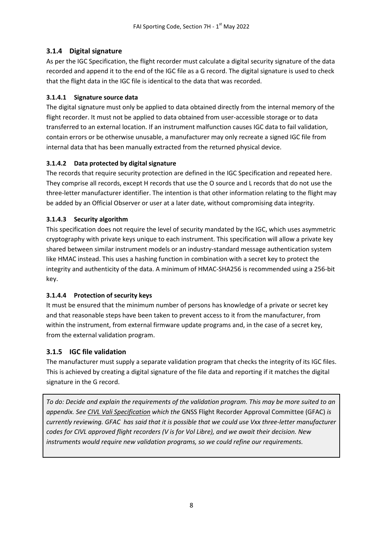#### **3.1.4 Digital signature**

As per the IGC Specification, the flight recorder must calculate a digital security signature of the data recorded and append it to the end of the IGC file as a G record. The digital signature is used to check that the flight data in the IGC file is identical to the data that was recorded.

#### **3.1.4.1 Signature source data**

The digital signature must only be applied to data obtained directly from the internal memory of the flight recorder. It must not be applied to data obtained from user-accessible storage or to data transferred to an external location. If an instrument malfunction causes IGC data to fail validation, contain errors or be otherwise unusable, a manufacturer may only recreate a signed IGC file from internal data that has been manually extracted from the returned physical device.

#### **3.1.4.2 Data protected by digital signature**

The records that require security protection are defined in the IGC Specification and repeated here. They comprise all records, except H records that use the O source and L records that do not use the three-letter manufacturer identifier. The intention is that other information relating to the flight may be added by an Official Observer or user at a later date, without compromising data integrity.

#### **3.1.4.3 Security algorithm**

This specification does not require the level of security mandated by the IGC, which uses asymmetric cryptography with private keys unique to each instrument. This specification will allow a private key shared between similar instrument models or an industry-standard message authentication system like HMAC instead. This uses a hashing function in combination with a secret key to protect the integrity and authenticity of the data. A minimum of HMAC-SHA256 is recommended using a 256-bit key.

#### **3.1.4.4 Protection of security keys**

It must be ensured that the minimum number of persons has knowledge of a private or secret key and that reasonable steps have been taken to prevent access to it from the manufacturer, from within the instrument, from external firmware update programs and, in the case of a secret key, from the external validation program.

#### **3.1.5 IGC file validation**

The manufacturer must supply a separate validation program that checks the integrity of its IGC files. This is achieved by creating a digital signature of the file data and reporting if it matches the digital signature in the G record.

*To do: Decide and explain the requirements of the validation program. This may be more suited to an appendix. See [CIVL Vali Specification](http://vali.fai-civl.org/documents/CIVL_IGCValiSpecification_proposal.pdf) which the* GNSS Flight Recorder Approval Committee (GFAC) *is currently reviewing. GFAC has said that it is possible that we could use Vxx three-letter manufacturer codes for CIVL approved flight recorders (V is for Vol Libre), and we await their decision. New instruments would require new validation programs, so we could refine our requirements.*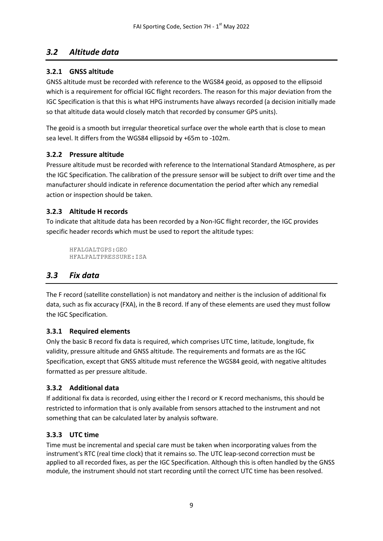## <span id="page-8-0"></span>*3.2 Altitude data*

#### **3.2.1 GNSS altitude**

GNSS altitude must be recorded with reference to the WGS84 geoid, as opposed to the ellipsoid which is a requirement for official IGC flight recorders. The reason for this major deviation from the IGC Specification is that this is what HPG instruments have always recorded (a decision initially made so that altitude data would closely match that recorded by consumer GPS units).

The geoid is a smooth but irregular theoretical surface over the whole earth that is close to mean sea level. It differs from the WGS84 ellipsoid by +65m to -102m.

#### **3.2.2 Pressure altitude**

Pressure altitude must be recorded with reference to the International Standard Atmosphere, as per the IGC Specification. The calibration of the pressure sensor will be subject to drift over time and the manufacturer should indicate in reference documentation the period after which any remedial action or inspection should be taken.

#### **3.2.3 Altitude H records**

To indicate that altitude data has been recorded by a Non-IGC flight recorder, the IGC provides specific header records which must be used to report the altitude types:

```
HFALGALTGPS:GEO
HFALPALTPRESSURE:ISA
```
## <span id="page-8-1"></span>*3.3 Fix data*

The F record (satellite constellation) is not mandatory and neither is the inclusion of additional fix data, such as fix accuracy (FXA), in the B record. If any of these elements are used they must follow the IGC Specification.

#### **3.3.1 Required elements**

Only the basic B record fix data is required, which comprises UTC time, latitude, longitude, fix validity, pressure altitude and GNSS altitude. The requirements and formats are as the IGC Specification, except that GNSS altitude must reference the WGS84 geoid, with negative altitudes formatted as per pressure altitude.

#### **3.3.2 Additional data**

If additional fix data is recorded, using either the I record or K record mechanisms, this should be restricted to information that is only available from sensors attached to the instrument and not something that can be calculated later by analysis software.

#### **3.3.3 UTC time**

Time must be incremental and special care must be taken when incorporating values from the instrument's RTC (real time clock) that it remains so. The UTC leap-second correction must be applied to all recorded fixes, as per the IGC Specification. Although this is often handled by the GNSS module, the instrument should not start recording until the correct UTC time has been resolved.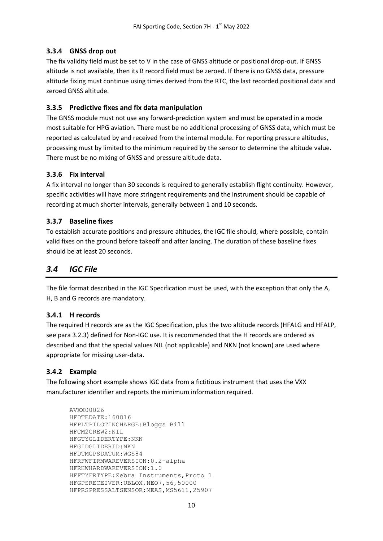#### **3.3.4 GNSS drop out**

The fix validity field must be set to V in the case of GNSS altitude or positional drop-out. If GNSS altitude is not available, then its B record field must be zeroed. If there is no GNSS data, pressure altitude fixing must continue using times derived from the RTC, the last recorded positional data and zeroed GNSS altitude.

#### **3.3.5 Predictive fixes and fix data manipulation**

The GNSS module must not use any forward-prediction system and must be operated in a mode most suitable for HPG aviation. There must be no additional processing of GNSS data, which must be reported as calculated by and received from the internal module. For reporting pressure altitudes, processing must by limited to the minimum required by the sensor to determine the altitude value. There must be no mixing of GNSS and pressure altitude data.

#### **3.3.6 Fix interval**

A fix interval no longer than 30 seconds is required to generally establish flight continuity. However, specific activities will have more stringent requirements and the instrument should be capable of recording at much shorter intervals, generally between 1 and 10 seconds.

#### **3.3.7 Baseline fixes**

To establish accurate positions and pressure altitudes, the IGC file should, where possible, contain valid fixes on the ground before takeoff and after landing. The duration of these baseline fixes should be at least 20 seconds.

## <span id="page-9-0"></span>*3.4 IGC File*

The file format described in the IGC Specification must be used, with the exception that only the A, H, B and G records are mandatory.

#### **3.4.1 H records**

The required H records are as the IGC Specification, plus the two altitude records (HFALG and HFALP, see para 3.2.3) defined for Non-IGC use. It is recommended that the H records are ordered as described and that the special values NIL (not applicable) and NKN (not known) are used where appropriate for missing user-data.

#### **3.4.2 Example**

The following short example shows IGC data from a fictitious instrument that uses the VXX manufacturer identifier and reports the minimum information required.

```
AVXX00026
HFDTEDATE:160816
HFPLTPILOTINCHARGE:Bloggs Bill
HFCM2CREW2:NIL
HFGTYGLIDERTYPE:NKN
HFGIDGLIDERID:NKN
HFDTMGPSDATUM:WGS84
HFRFWFIRMWAREVERSION:0.2-alpha
HFRHWHARDWAREVERSION:1.0
HFFTYFRTYPE:Zebra Instruments,Proto 1
HFGPSRECEIVER:UBLOX,NEO7,56,50000
HFPRSPRESSALTSENSOR: MEAS, MS5611, 25907
```